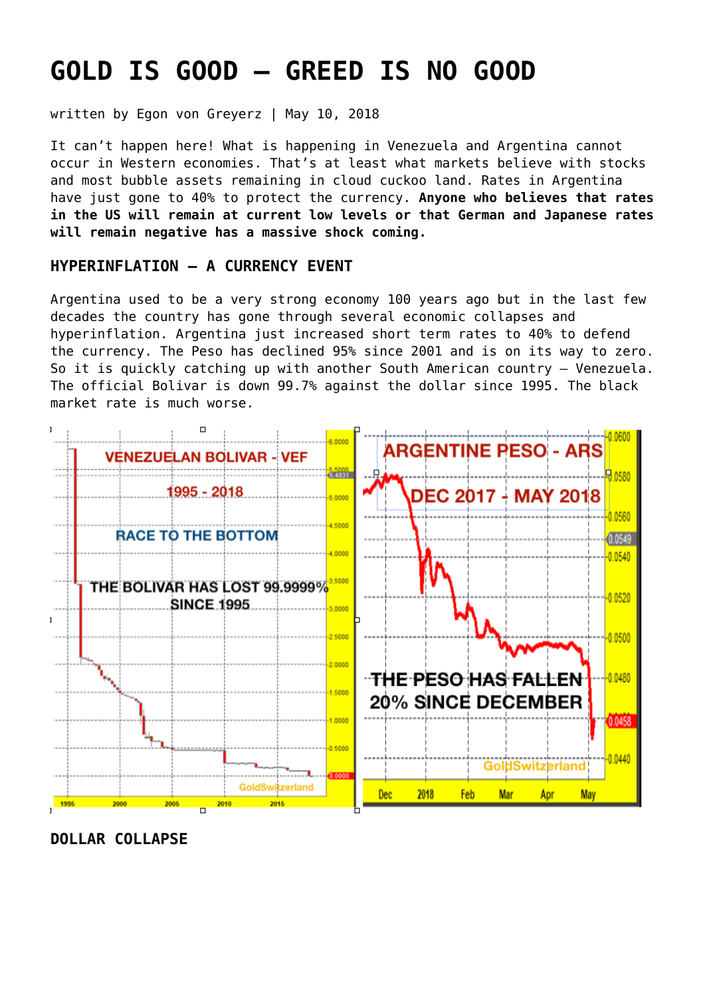# **[GOLD IS GOOD – GREED IS NO GOOD](https://goldswitzerland.com/gold-is-good-greed-is-no-good/)**

written by Egon von Greyerz | May 10, 2018

It can't happen here! What is happening in Venezuela and Argentina cannot occur in Western economies. That's at least what markets believe with stocks and most bubble assets remaining in cloud cuckoo land. Rates in Argentina have just gone to 40% to protect the currency. **Anyone who believes that rates in the US will remain at current low levels or that German and Japanese rates will remain negative has a massive shock coming.**

## **HYPERINFLATION – A CURRENCY EVENT**

Argentina used to be a very strong economy 100 years ago but in the last few decades the country has gone through several economic collapses and hyperinflation. Argentina just increased short term rates to 40% to defend the currency. The Peso has declined 95% since 2001 and is on its way to zero. So it is quickly catching up with another South American country – Venezuela. The official Bolivar is down 99.7% against the dollar since 1995. The black market rate is much worse.



**DOLLAR COLLAPSE**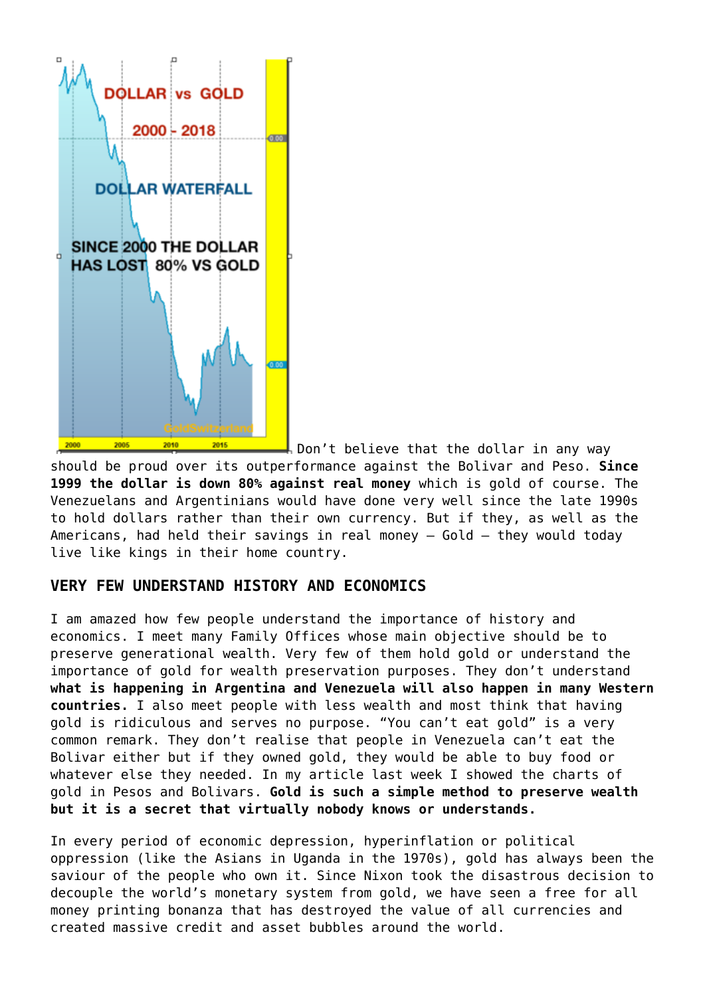

Don't believe that the dollar in any way

should be proud over its outperformance against the Bolivar and Peso. **Since 1999 the dollar is down 80% against real money** which is gold of course. The Venezuelans and Argentinians would have done very well since the late 1990s to hold dollars rather than their own currency. But if they, as well as the Americans, had held their savings in real money – Gold – they would today live like kings in their home country.

## **VERY FEW UNDERSTAND HISTORY AND ECONOMICS**

I am amazed how few people understand the importance of history and economics. I meet many Family Offices whose main objective should be to preserve generational wealth. Very few of them hold gold or understand the importance of gold for wealth preservation purposes. They don't understand **what is happening in Argentina and Venezuela will also happen in many Western countries.** I also meet people with less wealth and most think that having gold is ridiculous and serves no purpose. "You can't eat gold" is a very common remark. They don't realise that people in Venezuela can't eat the Bolivar either but if they owned gold, they would be able to buy food or whatever else they needed. In my article [last week](https://goldswitzerland.com/gold-holders-centennial-opportunity/) I showed the charts of gold in Pesos and Bolivars. **Gold is such a simple method to preserve wealth but it is a secret that virtually nobody knows or understands.**

In every period of economic depression, hyperinflation or political oppression (like the Asians in Uganda in the 1970s), gold has always been the saviour of the people who own it. Since Nixon took the disastrous decision to decouple the world's monetary system from gold, we have seen a free for all money printing bonanza that has destroyed the value of all currencies and created massive credit and asset bubbles around the world.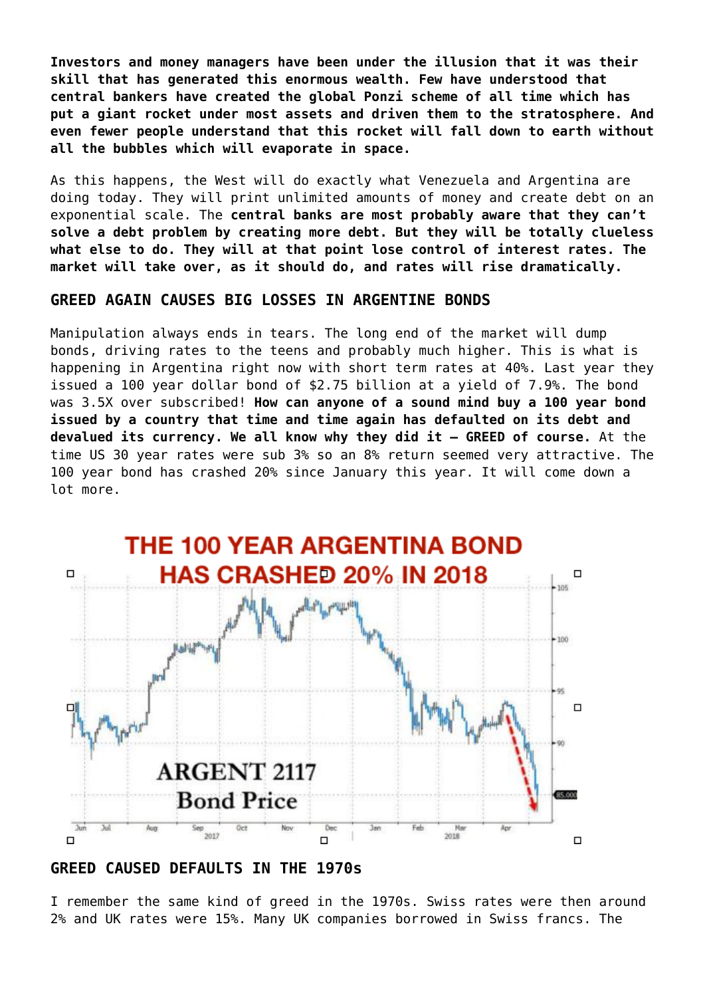**Investors and money managers have been under the illusion that it was their skill that has generated this enormous wealth. Few have understood that central bankers have created the global Ponzi scheme of all time which has put a giant rocket under most assets and driven them to the stratosphere. And even fewer people understand that this rocket will fall down to earth without all the bubbles which will evaporate in space.**

As this happens, the West will do exactly what Venezuela and Argentina are doing today. They will print unlimited amounts of money and create debt on an exponential scale. The **central banks are most probably aware that they can't solve a debt problem by creating more debt. But they will be totally clueless what else to do. They will at that point lose control of interest rates. The market will take over, as it should do, and rates will rise dramatically.**

#### **GREED AGAIN CAUSES BIG LOSSES IN ARGENTINE BONDS**

Manipulation always ends in tears. The long end of the market will dump bonds, driving rates to the teens and probably much higher. This is what is happening in Argentina right now with short term rates at 40%. Last year they issued a 100 year dollar bond of \$2.75 billion at a yield of 7.9%. The bond was 3.5X over subscribed! **How can anyone of a sound mind buy a 100 year bond issued by a country that time and time again has defaulted on its debt and devalued its currency. We all know why they did it – GREED of course.** At the time US 30 year rates were sub 3% so an 8% return seemed very attractive. The 100 year bond has crashed 20% since January this year. It will come down a lot more.



# **GREED CAUSED DEFAULTS IN THE 1970s**

I remember the same kind of greed in the 1970s. Swiss rates were then around 2% and UK rates were 15%. Many UK companies borrowed in Swiss francs. The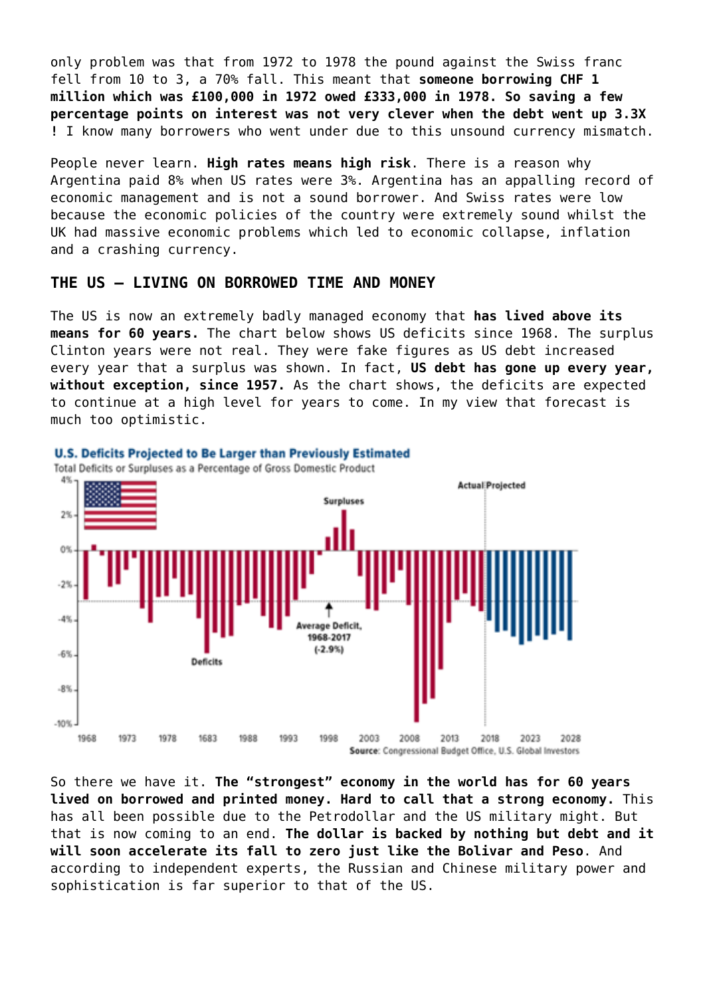only problem was that from 1972 to 1978 the pound against the Swiss franc fell from 10 to 3, a 70% fall. This meant that **someone borrowing CHF 1 million which was £100,000 in 1972 owed £333,000 in 1978. So saving a few percentage points on interest was not very clever when the debt went up 3.3X !** I know many borrowers who went under due to this unsound currency mismatch.

People never learn. **High rates means high risk**. There is a reason why Argentina paid 8% when US rates were 3%. Argentina has an appalling record of economic management and is not a sound borrower. And Swiss rates were low because the economic policies of the country were extremely sound whilst the UK had massive economic problems which led to economic collapse, inflation and a crashing currency.

#### **THE US – LIVING ON BORROWED TIME AND MONEY**

The US is now an extremely badly managed economy that **has lived above its means for 60 years.** The chart below shows US deficits since 1968. The surplus Clinton years were not real. They were fake figures as US debt increased every year that a surplus was shown. In fact, **US debt has gone up every year, without exception, since 1957.** As the chart shows, the deficits are expected to continue at a high level for years to come. In my view that forecast is much too optimistic.



So there we have it. **The "strongest" economy in the world has for 60 years lived on borrowed and printed money. Hard to call that a strong economy.** This has all been possible due to the Petrodollar and the US military might. But that is now coming to an end. **The dollar is backed by nothing but debt and it will soon accelerate its fall to zero just like the Bolivar and Peso**. And according to independent experts, the Russian and Chinese military power and sophistication is far superior to that of the US.